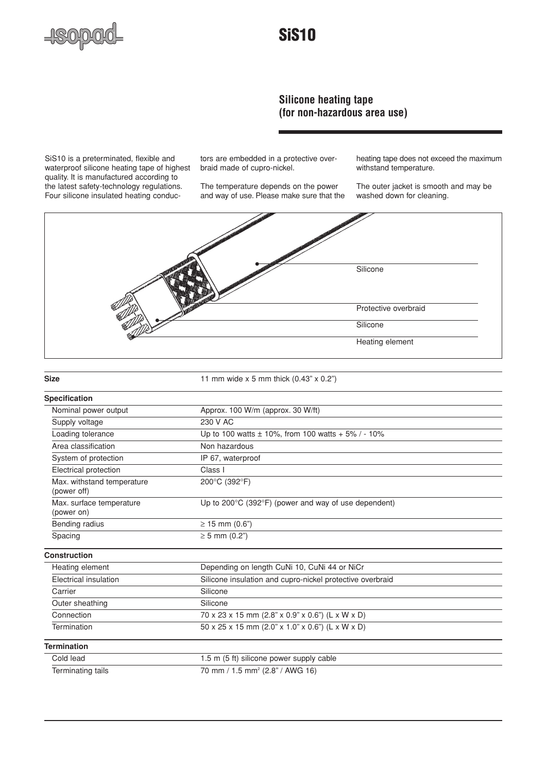

## **SiS10**

## **Silicone heating tape (for non-hazardous area use)**

SiS10 is a preterminated, flexible and waterproof silicone heating tape of highest quality. It is manufactured according to the latest safety-technology regulations. Four silicone insulated heating conductors are embedded in a protective overbraid made of cupro-nickel.

The temperature depends on the power and way of use. Please make sure that the heating tape does not exceed the maximum withstand temperature.

The outer jacket is smooth and may be washed down for cleaning.



| I<br>M.<br>۰. | × | M. |
|---------------|---|----|

**Size** 11 mm wide x 5 mm thick (0.43" x 0.2")

| <b>Specification</b>                      |                                                                           |  |
|-------------------------------------------|---------------------------------------------------------------------------|--|
| Nominal power output                      | Approx. 100 W/m (approx. 30 W/ft)                                         |  |
| Supply voltage                            | 230 V AC                                                                  |  |
| Loading tolerance                         | Up to 100 watts $\pm$ 10%, from 100 watts + 5% / - 10%                    |  |
| Area classification                       | Non hazardous                                                             |  |
| System of protection                      | IP 67, waterproof                                                         |  |
| Electrical protection                     | Class I                                                                   |  |
| Max. withstand temperature<br>(power off) | 200°C (392°F)                                                             |  |
| Max. surface temperature<br>(power on)    | Up to $200^{\circ}$ C (392 $^{\circ}$ F) (power and way of use dependent) |  |
| Bending radius                            | $\geq$ 15 mm (0.6")                                                       |  |
| Spacing                                   | $\geq$ 5 mm (0.2")                                                        |  |
| <b>Construction</b>                       |                                                                           |  |
| Heating element                           | Depending on length CuNi 10, CuNi 44 or NiCr                              |  |
| Electrical insulation                     | Silicone insulation and cupro-nickel protective overbraid                 |  |
| Carrier                                   | Silicone                                                                  |  |
| Outer sheathing                           | Silicone                                                                  |  |
| Connection                                | 70 x 23 x 15 mm (2.8" x 0.9" x 0.6") (L x W x D)                          |  |
| Termination                               | 50 x 25 x 15 mm (2.0" x 1.0" x 0.6") (L x W x D)                          |  |
| <b>Termination</b>                        |                                                                           |  |
| Cold lead                                 | 1.5 m (5 ft) silicone power supply cable                                  |  |
| Terminating tails                         | 70 mm / 1.5 mm <sup>2</sup> (2.8" / AWG 16)                               |  |